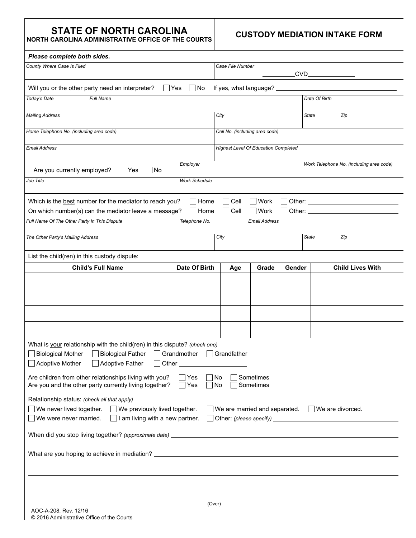## **STATE OF NORTH CAROLINA**

**NORTH CAROLINA ADMINISTRATIVE OFFICE OF THE COURTS**

## **CUSTODY MEDIATION INTAKE FORM**

| Please complete both sides.                                                                                                                                                                                                              |                                                                |                      |                                             |       |                                 |              |                         |  |
|------------------------------------------------------------------------------------------------------------------------------------------------------------------------------------------------------------------------------------------|----------------------------------------------------------------|----------------------|---------------------------------------------|-------|---------------------------------|--------------|-------------------------|--|
| County Where Case Is Filed                                                                                                                                                                                                               |                                                                |                      | Case File Number<br>CVD                     |       |                                 |              |                         |  |
|                                                                                                                                                                                                                                          |                                                                |                      |                                             |       |                                 |              |                         |  |
|                                                                                                                                                                                                                                          | Will you or the other party need an interpreter?               | No<br> Yes           | If yes, what language?                      |       |                                 |              |                         |  |
| Today's Date                                                                                                                                                                                                                             | Full Name                                                      |                      | Date Of Birth                               |       |                                 |              |                         |  |
| <b>Mailing Address</b>                                                                                                                                                                                                                   |                                                                |                      | City                                        |       |                                 | State        | Zip                     |  |
|                                                                                                                                                                                                                                          |                                                                |                      |                                             |       |                                 |              |                         |  |
| Home Telephone No. (including area code)                                                                                                                                                                                                 |                                                                |                      | Cell No. (including area code)              |       |                                 |              |                         |  |
| Email Address                                                                                                                                                                                                                            |                                                                |                      | <b>Highest Level Of Education Completed</b> |       |                                 |              |                         |  |
| Employer<br>Are you currently employed?<br> No<br>Yes                                                                                                                                                                                    |                                                                |                      | Work Telephone No. (including area code)    |       |                                 |              |                         |  |
| Job Title                                                                                                                                                                                                                                |                                                                | <b>Work Schedule</b> |                                             |       |                                 |              |                         |  |
|                                                                                                                                                                                                                                          | Which is the best number for the mediator to reach you?        | $\bigsqcup$ Home     | Cell                                        | Work  | Other:                          |              |                         |  |
|                                                                                                                                                                                                                                          | On which number(s) can the mediator leave a message?<br>  Home |                      |                                             |       | Other: $\overline{\phantom{a}}$ |              |                         |  |
| Full Name Of The Other Party In This Dispute<br>Telephone No.                                                                                                                                                                            |                                                                |                      | <b>Email Address</b>                        |       |                                 |              |                         |  |
| The Other Party's Mailing Address                                                                                                                                                                                                        |                                                                |                      | City                                        |       |                                 | <b>State</b> | Zip                     |  |
| List the child(ren) in this custody dispute:                                                                                                                                                                                             |                                                                |                      |                                             |       |                                 |              |                         |  |
|                                                                                                                                                                                                                                          | <b>Child's Full Name</b>                                       | Date Of Birth        | Age                                         | Grade | Gender                          |              | <b>Child Lives With</b> |  |
|                                                                                                                                                                                                                                          |                                                                |                      |                                             |       |                                 |              |                         |  |
|                                                                                                                                                                                                                                          |                                                                |                      |                                             |       |                                 |              |                         |  |
|                                                                                                                                                                                                                                          |                                                                |                      |                                             |       |                                 |              |                         |  |
|                                                                                                                                                                                                                                          |                                                                |                      |                                             |       |                                 |              |                         |  |
|                                                                                                                                                                                                                                          |                                                                |                      |                                             |       |                                 |              |                         |  |
| What is your relationship with the child(ren) in this dispute? (check one)<br><b>Biological Mother</b><br><b>Biological Father</b><br>Grandmother<br>Grandfather<br>Adoptive Mother<br>Adoptive Father<br>Other_                         |                                                                |                      |                                             |       |                                 |              |                         |  |
| Are children from other relationships living with you?<br>No<br>Sometimes<br>$\mathsf{\neg}$ Yes<br>Are you and the other party currently living together?<br>$\Box$ Yes<br>∏No<br>Sometimes                                             |                                                                |                      |                                             |       |                                 |              |                         |  |
| Relationship status: (check all that apply)<br>We never lived together.<br>We are married and separated.<br>$\Box$ We are divorced.<br>$\Box$ We previously lived together.<br>We were never married.<br>I am living with a new partner. |                                                                |                      |                                             |       |                                 |              |                         |  |
|                                                                                                                                                                                                                                          |                                                                |                      |                                             |       |                                 |              |                         |  |
|                                                                                                                                                                                                                                          |                                                                |                      |                                             |       |                                 |              |                         |  |
|                                                                                                                                                                                                                                          |                                                                |                      |                                             |       |                                 |              |                         |  |
|                                                                                                                                                                                                                                          |                                                                |                      |                                             |       |                                 |              |                         |  |